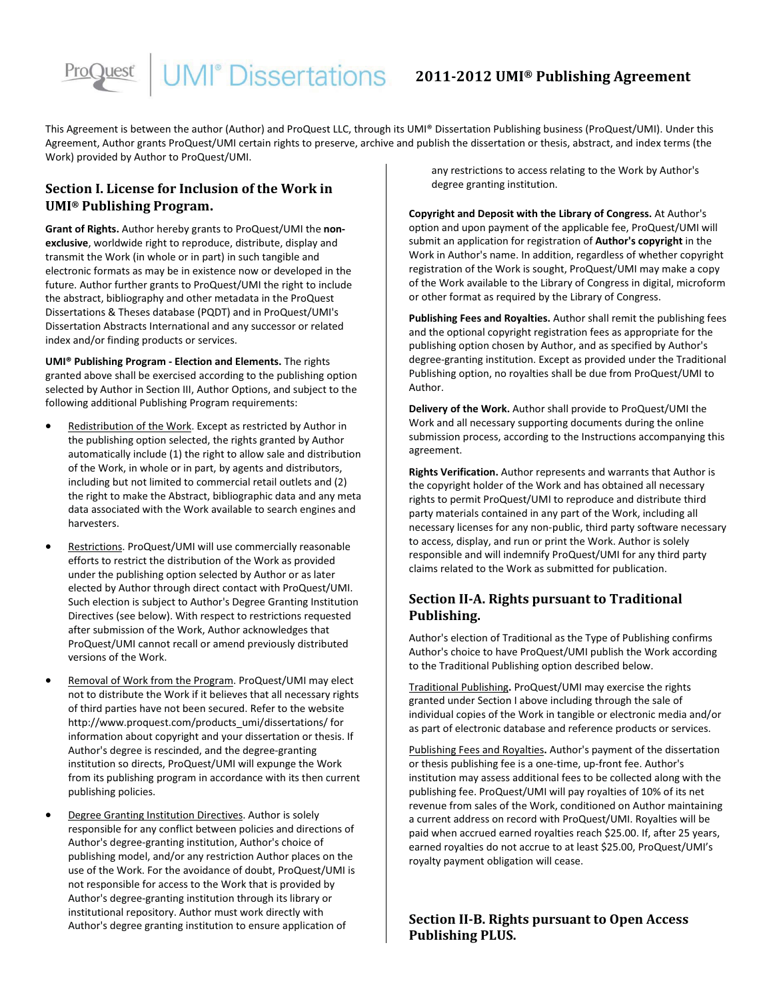# **JMI**<sup>®</sup> Dissertations 2011-2012 UMI® Publishing Agreement

This Agreement is between the author (Author) and ProQuest LLC, through its UMI® Dissertation Publishing business (ProQuest/UMI). Under this Agreement, Author grants ProQuest/UMI certain rights to preserve, archive and publish the dissertation or thesis, abstract, and index terms (the Work) provided by Author to ProQuest/UMI.

# **Section I. License for Inclusion of the Work in UMI® Publishing Program.**

**Grant of Rights.** Author hereby grants to ProQuest/UMI the **nonexclusive**, worldwide right to reproduce, distribute, display and transmit the Work (in whole or in part) in such tangible and electronic formats as may be in existence now or developed in the future. Author further grants to ProQuest/UMI the right to include the abstract, bibliography and other metadata in the ProQuest Dissertations & Theses database (PQDT) and in ProQuest/UMI's Dissertation Abstracts International and any successor or related index and/or finding products or services.

**UMI® Publishing Program - Election and Elements.** The rights granted above shall be exercised according to the publishing option selected by Author in Section III, Author Options, and subject to the following additional Publishing Program requirements:

- -• Redistribution of the Work. Except as restricted by Author in the publishing option selected, the rights granted by Author automatically include (1) the right to allow sale and distribution of the Work, in whole or in part, by agents and distributors, including but not limited to commercial retail outlets and (2) the right to make the Abstract, bibliographic data and any meta data associated with the Work available to search engines and harvesters.
- -Restrictions. ProQuest/UMI will use commercially reasonable efforts to restrict the distribution of the Work as provided under the publishing option selected by Author or as later elected by Author through direct contact with ProQuest/UMI. Such election is subject to Author's Degree Granting Institution Directives (see below). With respect to restrictions requested after submission of the Work, Author acknowledges that ProQuest/UMI cannot recall or amend previously distributed versions of the Work.
- -Removal of Work from the Program. ProQuest/UMI may elect not to distribute the Work if it believes that all necessary rights of third parties have not been secured. Refer to the website http://www.proquest.com/products\_umi/dissertations/ for information about copyright and your dissertation or thesis. If Author's degree is rescinded, and the degree-granting institution so directs, ProQuest/UMI will expunge the Work from its publishing program in accordance with its then current publishing policies.
- -Degree Granting Institution Directives . Author is solely responsible for any conflict between policies and directions of Author's degree-granting institution, Author's choice of publishing model, and/or any restriction Author places on the use of the Work. For the avoidance of doubt, ProQuest/UMI is not responsible for access to the Work that is provided by Author's degree-granting institution through its library or institutional repository. Author must work directly with Author's degree granting institution to ensure application of

any restrictions to access relating to the Work by Author's degree granting institution.

**Copyright and Deposit with the Library of Congress.** At Author's option and upon payment of the applicable fee, ProQuest/UMI will submit an application for registration of **Author's copyright** in the Work in Author's name. In addition, regardless of whether copyright registration of the Work is sought, ProQuest/UMI may make a copy of the Work available to the Library of Congress in digital, microform or other format as required by the Library of Congress.

**Publishing Fees and Royalties.** Author shall remit the publishing fees and the optional copyright registration fees as appropriate for the publishing option chosen by Author, and as specified by Author's degree-granting institution. Except as provided under the Traditional Publishing option, no royalties shall be due from ProQuest/UMI to Author.

**Delivery of the Work.** Author shall provide to ProQuest/UMI the Work and all necessary supporting documents during the online submission process, according to the Instructions accompanying this agreement.

**Rights Verification.** Author represents and warrants that Author is the copyright holder of the Work and has obtained all necessary rights to permit ProQuest/UMI to reproduce and distribute third party materials contained in any part of the Work, including all necessary licenses for any non-public, third party software necessary to access, display, and run or print the Work. Author is solely responsible and will indemnify ProQuest/UMI for any third party claims related to the Work as submitted for publication.

# **Section II-A. Rights pursuant to Traditional Publishing.**

Author's election of Traditional as the Type of Publishing confirms Author's choice to have ProQuest/UMI publish the Work according to the Traditional Publishing option described below.

Traditional Publishing**.** ProQuest/UMI may exercise the rights granted under Section I above including through the sale of individual copies of the Work in tangible or electronic media and/or as part of electronic database and reference products or services.

Publishing Fees and Royalties**.** Author's payment of the dissertation or thesis publishing fee is a one-time, up-front fee. Author's institution may assess additional fees to be collected along with the publishing fee. ProQuest/UMI will pay royalties of 10% of its net revenue from sales of the Work, conditioned on Author maintaining a current address on record with ProQuest/UMI. Royalties will be paid when accrued earned royalties reach \$25.00. If, after 25 years, earned royalties do not accrue to at least \$25.00, ProQuest/UMI's royalty payment obligation will cease.

**Section II-B. Rights pursuant to Open Access Publishing PLUS.**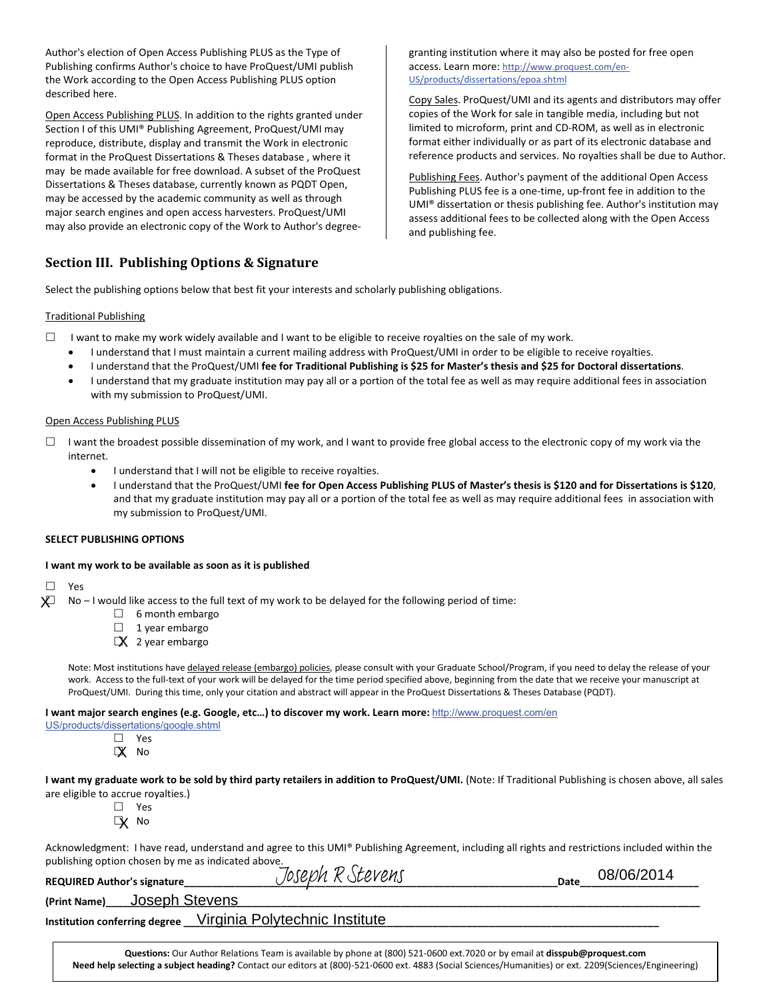Author's election of Open Access Publishing PLUS as the Type of Publishing confirms Author's choice to have ProQuest/UMI publish the Work according to the Open Access Publishing PLUS option described here.

Open Access Publishing PLUS. In addition to the rights granted under Section I of this UMI® Publishing Agreement, ProQuest/UMI may reproduce, distribute, display and transmit the Work in electronic format in the ProQuest Dissertations & Theses database , where it may be made available for free download. A subset of the ProQuest Dissertations & Theses database, currently known as PQDT Open, may be accessed by the academic community as well as through major search engines and open access harvesters. ProQuest/UMI may also provide an electronic copy of the Work to Author's degree-

# **Section III. Publishing Options & Signature**

granting institution where it may also be posted for free open access. Learn more: http://www.proquest.com/en-US/products/dissertations/epoa.shtml

Copy Sales. ProQuest/UMI and its agents and distributors may offer copies of the Work for sale in tangible media, including but not limited to microform, print and CD-ROM, as well as in electronic format either individually or as part of its electronic database and reference products and services. No royalties shall be due to Author.

Publishing Fees. Author's payment of the additional Open Access Publishing PLUS fee is a one-time, up-front fee in addition to the UMI® dissertation or thesis publishing fee. Author's institution may assess additional fees to be collected along with the Open Access and publishing fee.

Select the publishing options below that best fit your interests and scholarly publishing obligations.

#### Traditional Publishing

- $\Box$  I want to make my work widely available and I want to be eligible to receive royalties on the sale of my work.
	- -I understand that I must maintain a current mailing address with ProQuest/UMI in order to be eligible to receive royalties.
	- -I understand that the ProQuest/UMI **fee for Traditional Publishing is \$25 for Master's thesis and \$25 for Doctoral dissertations**.
	- $\bullet$  I understand that my graduate institution may pay all or a portion of the total fee as well as may require additional fees in association with my submission to ProQuest/UMI.

#### Open Access Publishing PLUS

- $\Box$  I want the broadest possible dissemination of my work, and I want to provide free global access to the electronic copy of my work via the internet.
	- -I understand that I will not be eligible to receive royalties.
	- - I understand that the ProQuest/UMI **fee for Open Access Publishing PLUS of Master's thesis is \$120 and for Dissertations is \$120**, and that my graduate institution may pay all or a portion of the total fee as well as may require additional fees in association with my submission to ProQuest/UMI.

#### **SELECT PUBLISHING OPTIONS**

#### **I want my work to be available as soon as it is published**

 $\Box$  Yes -X

No – I would like access to the full text of my work to be delayed for the following period of time:

- □ 6 month embargo
- $\Box$  1 year embargo
- $\Box X$  2 year embargo

Note: Most institutions have delayed release (embargo) policies, please consult with your Graduate School/Program, if you need to delay the release of your work. Access to the full-text of your work will be delayed for the time period specified above, beginning from the date that we receive your manuscript at ProQuest/UMI. During this time, only your citation and abstract will appear in the ProQuest Dissertations & Theses Database (PQDT).

**I want major search engines (e.g. Google, etc…) to discover my work. Learn more:**  http://www.proquest.com/en

- US/products/dissertations/google.shtml
	- □ Yes

- No X

I want my graduate work to be sold by third party retailers in addition to ProQuest/UMI. (Note: If Traditional Publishing is chosen above, all sales are eligible to accrue royalties.)

□ Yes

- No X

Acknowledgment: I have read, understand and agree to this UMI® Publishing Agreement, including all rights and restrictions included within the publishing option chosen by me as indicated above.

| <b>REQUIRED Author's signature</b>                           | Joseph R Stevens                                                                                                          | Date | 08/06/2014 |
|--------------------------------------------------------------|---------------------------------------------------------------------------------------------------------------------------|------|------------|
| (Print Name) Joseph Stevens                                  |                                                                                                                           |      |            |
| Institution conferring degree Virginia Polytechnic Institute |                                                                                                                           |      |            |
|                                                              |                                                                                                                           |      |            |
|                                                              | Questions: Our Author Relations Team is available by phone at (800) 521-0600 ext.7020 or by email at disspub@proquest.com |      |            |

**Need help selecting a subject heading?** Contact our editors at (800)-521-0600 ext. 4883 (Social Sciences/Humanities) or ext. 2209(Sciences/Engineering)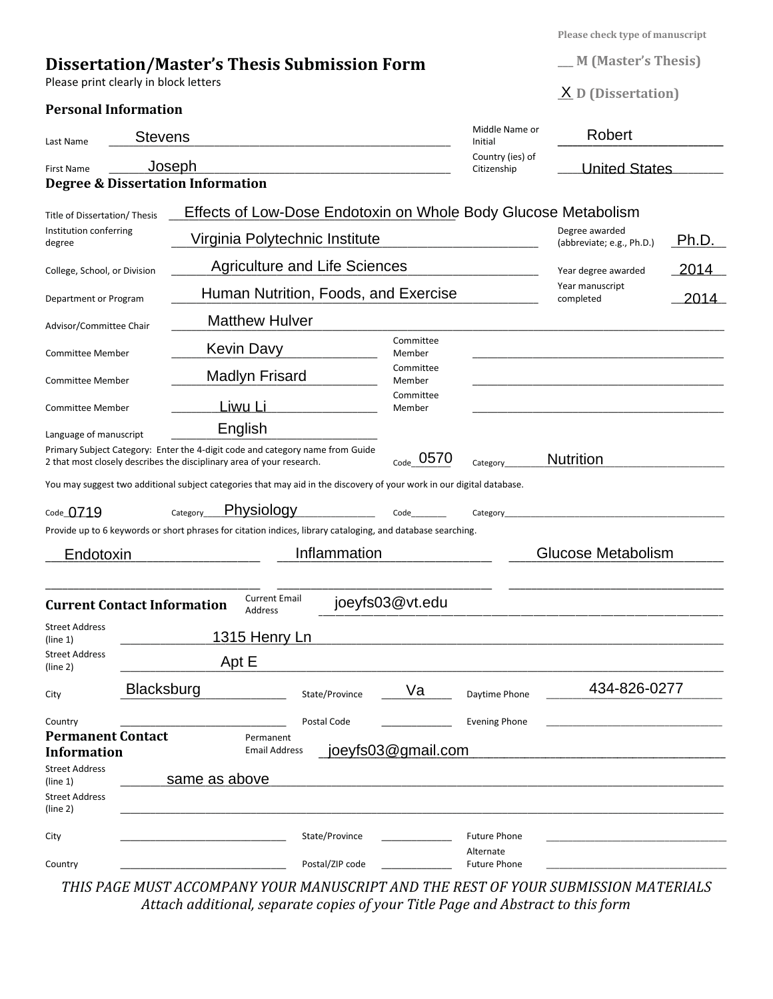**Please check type of manuscript** 

| <b>Dissertation/Master's Thesis Submission Form</b> |  |  |  |  |
|-----------------------------------------------------|--|--|--|--|
|-----------------------------------------------------|--|--|--|--|

Please print clearly in block letters

# **Personal Information**

| <b>M</b> (Master's Thesis) |  |
|----------------------------|--|
|----------------------------|--|

**\_\_\_ D (Dissertation)**  X

| Last Name                                                                                                                                                                        | <b>Stevens</b>    |                                      |                 |                                      | Middle Name or<br>Initial        | Robert                                                         |       |
|----------------------------------------------------------------------------------------------------------------------------------------------------------------------------------|-------------------|--------------------------------------|-----------------|--------------------------------------|----------------------------------|----------------------------------------------------------------|-------|
| <b>First Name</b><br><b>Degree &amp; Dissertation Information</b>                                                                                                                | <u>Joseph</u>     |                                      |                 |                                      | Country (ies) of<br>Citizenship  | <b>United States</b>                                           |       |
| Title of Dissertation/ Thesis                                                                                                                                                    |                   |                                      |                 |                                      |                                  | Effects of Low-Dose Endotoxin on Whole Body Glucose Metabolism |       |
| Institution conferring<br>degree                                                                                                                                                 |                   | Virginia Polytechnic Institute       |                 |                                      |                                  | Degree awarded<br>(abbreviate; e.g., Ph.D.)                    | Ph.D. |
| College, School, or Division                                                                                                                                                     |                   | <b>Agriculture and Life Sciences</b> |                 |                                      |                                  | Year degree awarded                                            | 2014  |
| Department or Program                                                                                                                                                            |                   |                                      |                 | Human Nutrition, Foods, and Exercise |                                  | Year manuscript<br>completed                                   | 2014  |
| Advisor/Committee Chair                                                                                                                                                          |                   | <b>Matthew Hulver</b>                |                 |                                      |                                  |                                                                |       |
| <b>Committee Member</b>                                                                                                                                                          | <b>Kevin Davy</b> |                                      |                 | Committee<br>Member                  |                                  |                                                                |       |
| <b>Committee Member</b>                                                                                                                                                          |                   | <b>Madlyn Frisard</b>                |                 | Committee<br>Member                  |                                  |                                                                |       |
| Committee Member                                                                                                                                                                 | Liwu Li           |                                      |                 | Committee<br>Member                  |                                  |                                                                |       |
| Language of manuscript<br>Primary Subject Category: Enter the 4-digit code and category name from Guide<br>2 that most closely describes the disciplinary area of your research. | English           |                                      |                 | $_{\text{Code}}$ 0570                | Category                         | <b>Nutrition</b>                                               |       |
| You may suggest two additional subject categories that may aid in the discovery of your work in our digital database.                                                            |                   |                                      |                 |                                      |                                  |                                                                |       |
| Code 0719<br>Provide up to 6 keywords or short phrases for citation indices, library cataloging, and database searching.                                                         | Category          | Physiology                           |                 | Code                                 | Category                         |                                                                |       |
| Endotoxin                                                                                                                                                                        |                   |                                      | Inflammation    |                                      |                                  | <b>Glucose Metabolism</b>                                      |       |
| <b>Current Contact Information</b>                                                                                                                                               |                   | <b>Current Email</b><br>Address      |                 | joeyfs03@vt.edu                      |                                  |                                                                |       |
| <b>Street Address</b><br>(line 1)                                                                                                                                                |                   | <b>1315 Henry Ln</b>                 |                 |                                      |                                  |                                                                |       |
| <b>Street Address</b><br>(line 2)                                                                                                                                                | Apt E             |                                      |                 |                                      |                                  |                                                                |       |
| City                                                                                                                                                                             | Blacksburg        |                                      | State/Province  | Va                                   | Daytime Phone                    | 434-826-0277                                                   |       |
| Country<br><b>Permanent Contact</b><br><b>Information</b><br><b>Street Address</b>                                                                                               |                   | Permanent<br><b>Email Address</b>    | Postal Code     | joeyfs03@gmail.com                   | <b>Evening Phone</b>             |                                                                |       |
| (line 1)<br><b>Street Address</b><br>(line 2)                                                                                                                                    | same as above     |                                      |                 |                                      |                                  |                                                                |       |
| City                                                                                                                                                                             |                   |                                      | State/Province  |                                      | <b>Future Phone</b>              |                                                                |       |
| Country                                                                                                                                                                          |                   |                                      | Postal/ZIP code |                                      | Alternate<br><b>Future Phone</b> |                                                                |       |

*THIS PAGE MUST ACCOMPANY YOUR MANUSCRIPT AND THE REST OF YOUR SUBMISSION MATERIALS Attach additional, separate copies of your Title Page and Abstract to this form*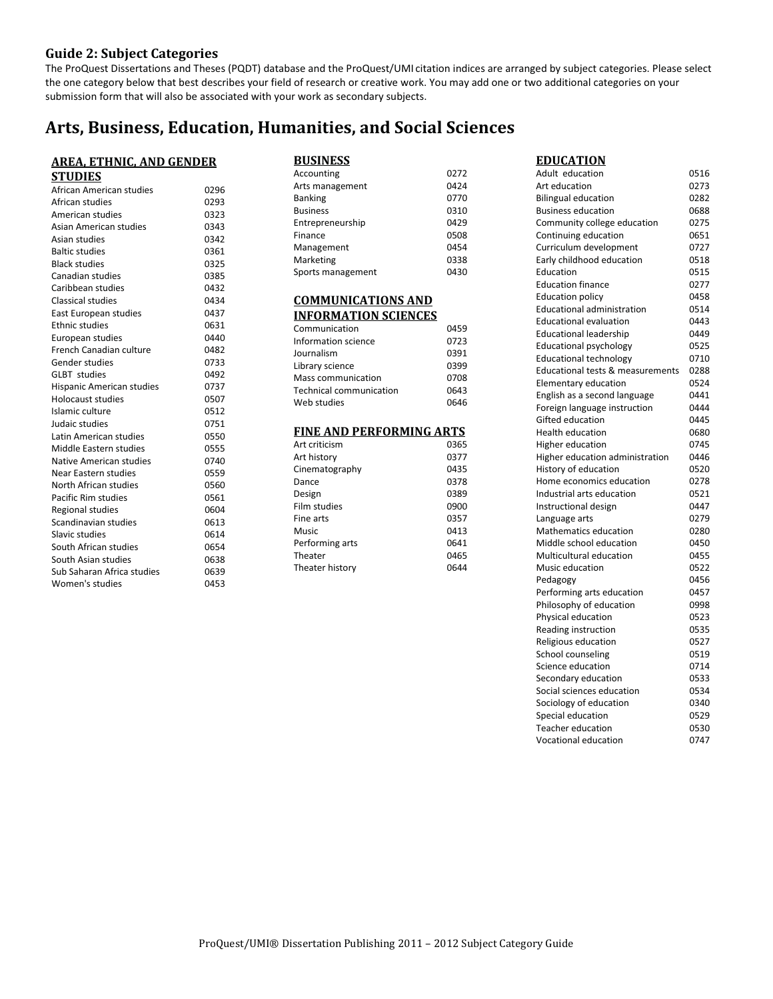### **Guide 2: Subject Categories**

The ProQuest Dissertations and Theses (PQDT) database and the ProQuest/UMI citation indices are arranged by subject categories. Please select the one category below that best describes your field of research or creative work. You may add one or two additional categories on your submission form that will also be associated with your work as secondary subjects.

# **Arts, Business, Education, Humanities, and Social Sciences**

| <u>AREA, ETHNIC, AND GENDER</u> |      |  |
|---------------------------------|------|--|
| <b>STUDIES</b>                  |      |  |
| African American studies        | 0296 |  |
| African studies                 | 0293 |  |
| American studies                | 0323 |  |
| Asian American studies          | 0343 |  |
| Asian studies                   | 0342 |  |
| <b>Baltic studies</b>           | 0361 |  |
| <b>Black studies</b>            | 0325 |  |
| Canadian studies                | 0385 |  |
| Caribbean studies               | 0432 |  |
| Classical studies               | 0434 |  |
| East European studies           | 0437 |  |
| <b>Ethnic studies</b>           | 0631 |  |
| European studies                | 0440 |  |
| <b>French Canadian culture</b>  | 0482 |  |
| Gender studies                  | 0733 |  |
| <b>GLBT</b> studies             | 0492 |  |
| Hispanic American studies       | 0737 |  |
| <b>Holocaust studies</b>        | 0507 |  |
| Islamic culture                 | 0512 |  |
| Judaic studies                  | 0751 |  |
| Latin American studies          | 0550 |  |
| Middle Eastern studies          | 0555 |  |
| Native American studies         | 0740 |  |
| Near Eastern studies            | 0559 |  |
| North African studies           | 0560 |  |
| Pacific Rim studies             | 0561 |  |
| Regional studies                | 0604 |  |
| Scandinavian studies            | 0613 |  |
| Slavic studies                  | 0614 |  |
| South African studies           | 0654 |  |
| South Asian studies             | 0638 |  |
| Sub Saharan Africa studies      | 0639 |  |
| Women's studies                 | 0453 |  |

| <b>BUSINESS</b>   |      |
|-------------------|------|
| Accounting        | 0272 |
| Arts management   | 0424 |
| <b>Banking</b>    | 0770 |
| <b>Business</b>   | 0310 |
| Entrepreneurship  | 0429 |
| Finance           | 0508 |
| Management        | 0454 |
| Marketing         | 0338 |
| Sports management | 0430 |

#### **COMMUNICATIONS AND INFORMATION SCIENCES**

| Communication           | 0459 |
|-------------------------|------|
| Information science     | 0723 |
| Journalism              | 0391 |
| Library science         | 0399 |
| Mass communication      | 0708 |
| Technical communication | 0643 |
| Web studies             | 0646 |

#### **FINE AND PERFORMING ARTS**

| Art criticism   | 0365 |
|-----------------|------|
| Art history     | 0377 |
| Cinematography  | 0435 |
| Dance           | 0378 |
| Design          | 0389 |
| Film studies    | 0900 |
| Fine arts       | 0357 |
| Music           | 0413 |
| Performing arts | 0641 |
| Theater         | 0465 |
| Theater history | 0644 |

Adult education 0516 **EDUCATION** Art education 0273 Bilingual education 0282 Business education 0688 Community college education 0275 Continuing education 0651 Curriculum development 0727 Early childhood education 0518 Education 0515 Education finance 0277 Education policy 0458 Educational administration 0514 Educational evaluation 0443 Educational leadership 0449 Educational psychology 0525 Educational technology 0710 Educational tests & measurements 0288 Elementary education 0524 English as a second language 0441 Foreign language instruction 0444 Gifted education 0445 Health education 0680 Higher education 0745 Higher education administration 0446 History of education 0520 Home economics education 0278 Industrial arts education 0521 Instructional design 0447 Language arts 0279 Mathematics education 0280 Middle school education 0450 Multicultural education 0455 Music education 0522 Pedagogy 0456 Performing arts education 0457 Philosophy of education 0998 Physical education 0523 Reading instruction 0535 Religious education 0527 School counseling 0519 Science education 0714 Secondary education 6533 Social sciences education 0534 Sociology of education 0340 Special education 6529 Teacher education 0530 Vocational education 0747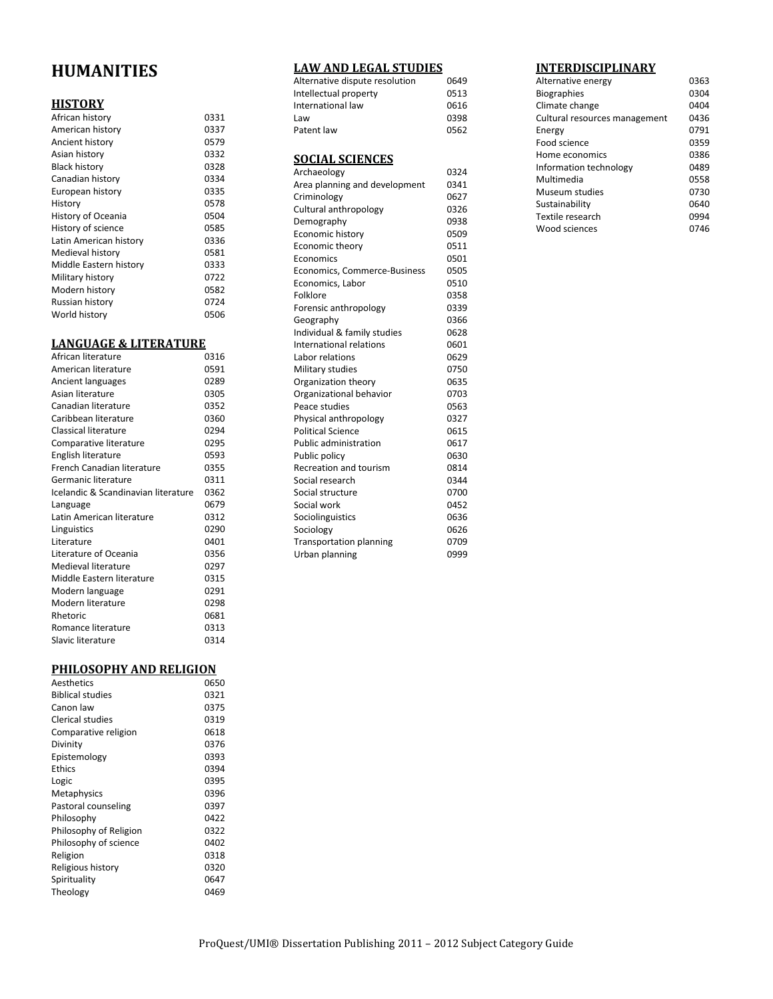# **HUMANITIES**

## **HISTORY**

| African history        | 0331 |
|------------------------|------|
| American history       | 0337 |
| Ancient history        | 0579 |
| Asian history          | 0332 |
| <b>Black history</b>   | 0328 |
| Canadian history       | 0334 |
| European history       | 0335 |
| History                | 0578 |
| History of Oceania     | 0504 |
| History of science     | 0585 |
| Latin American history | 0336 |
| Medieval history       | 0581 |
| Middle Eastern history | 0333 |
| Military history       | 0722 |
| Modern history         | 0582 |
| Russian history        | 0724 |
| World history          | 0506 |

#### **LANGUAGE & LITERATURE**

| African literature                  | 0316 |
|-------------------------------------|------|
| American literature                 | 0591 |
| Ancient languages                   | 0289 |
| Asian literature                    | 0305 |
| Canadian literature                 | 0352 |
| Caribbean literature                | 0360 |
| Classical literature                | 0294 |
| Comparative literature              | 0295 |
| English literature                  | 0593 |
| French Canadian literature          | 0355 |
| Germanic literature                 | 0311 |
| Icelandic & Scandinavian literature | 0362 |
| Language                            | 0679 |
| Latin American literature           | 0312 |
| Linguistics                         | 0290 |
| Literature                          | 0401 |
| Literature of Oceania               | 0356 |
| Medieval literature                 | 0297 |
| Middle Eastern literature           | 0315 |
| Modern language                     | 0291 |
| Modern literature                   | 0298 |
| Rhetoric                            | 0681 |
| Romance literature                  | 0313 |
| Slavic literature                   | 0314 |
|                                     |      |

# **PHILOSOPHY AND RELIGION**

| Aesthetics              | 0650 |
|-------------------------|------|
| <b>Biblical studies</b> | 0321 |
| Canon law               | 0375 |
| Clerical studies        | 0319 |
| Comparative religion    | 0618 |
| Divinity                | 0376 |
| Epistemology            | 0393 |
| Ethics                  | 0394 |
| Logic                   | 0395 |
| Metaphysics             | 0396 |
| Pastoral counseling     | 0397 |
| Philosophy              | 0422 |
| Philosophy of Religion  | 0322 |
| Philosophy of science   | 0402 |
| Religion                | 0318 |
| Religious history       | 0320 |
| Spirituality            | 0647 |
| Theology                | 0469 |
|                         |      |

#### **LAW AND LEGAL STUDIES**

| Alternative dispute resolution | 0649 |
|--------------------------------|------|
| Intellectual property          | 0513 |
| International law              | 0616 |
| Law                            | 0398 |
| Patent law                     | 0562 |
|                                |      |

# **SOCIAL SCIENCES**

| Archaeology                    | 0324 |
|--------------------------------|------|
| Area planning and development  | 0341 |
| Criminology                    | 0627 |
| Cultural anthropology          | 0326 |
| Demography                     | 0938 |
| Economic history               | 0509 |
| <b>Economic theory</b>         | 0511 |
| Economics                      | 0501 |
| Economics, Commerce-Business   | 0505 |
| Economics, Labor               | 0510 |
| Folklore                       | 0358 |
| Forensic anthropology          | 0339 |
| Geography                      | 0366 |
| Individual & family studies    | 0628 |
| International relations        | 0601 |
| Labor relations                | 0629 |
| Military studies               | 0750 |
| Organization theory            | 0635 |
| Organizational behavior        | 0703 |
| Peace studies                  | 0563 |
| Physical anthropology          | 0327 |
| <b>Political Science</b>       | 0615 |
| <b>Public administration</b>   | 0617 |
| Public policy                  | 0630 |
| <b>Recreation and tourism</b>  | 0814 |
| Social research                | 0344 |
| Social structure               | 0700 |
| Social work                    | 0452 |
| Sociolinguistics               | 0636 |
| Sociology                      | 0626 |
| <b>Transportation planning</b> | 0709 |
| Urban planning                 | 0999 |

## **INTERDISCIPLINARY**

| Alternative energy            | 0363 |
|-------------------------------|------|
| <b>Biographies</b>            | 0304 |
| Climate change                | 0404 |
| Cultural resources management | 0436 |
| Energy                        | 0791 |
| Food science                  | 0359 |
| Home economics                | 0386 |
| Information technology        | 0489 |
| Multimedia                    | 0558 |
| Museum studies                | 0730 |
| Sustainability                | 0640 |
| Textile research              | 0994 |
| Wood sciences                 | 0746 |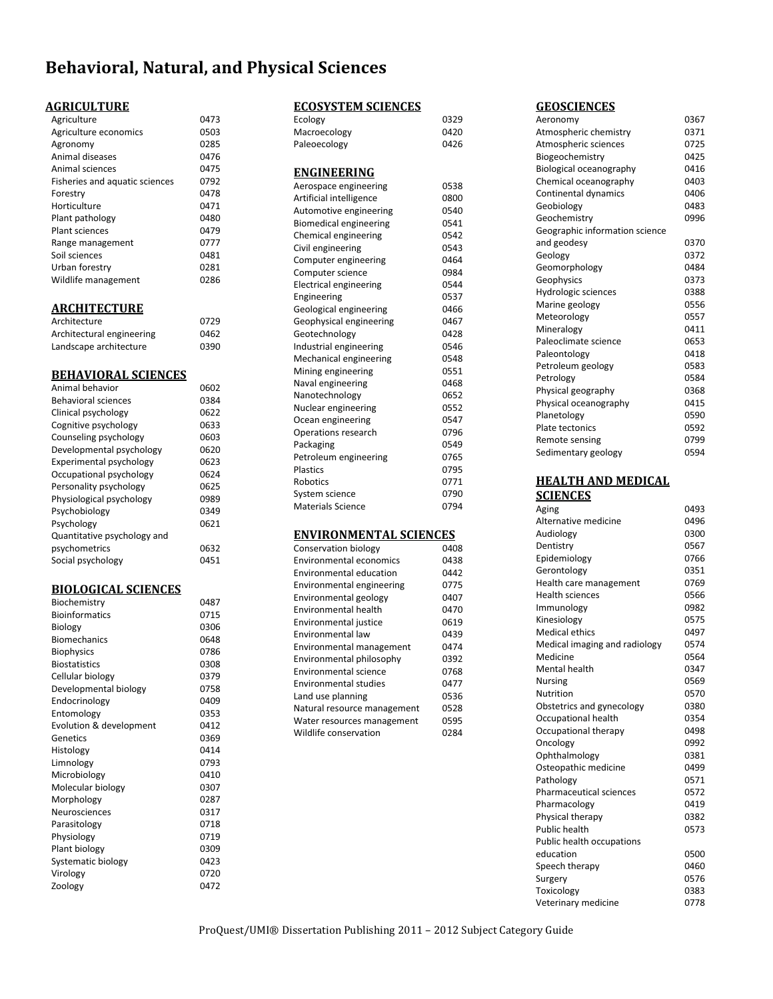# **Behavioral, Natural, and Physical Sciences**

# **AGRICULTURE**

| 0473 |
|------|
| 0503 |
| 0285 |
| 0476 |
| 0475 |
| 0792 |
| 0478 |
| 0471 |
| 0480 |
| 0479 |
| 0777 |
| 0481 |
| 0281 |
| 0286 |
|      |

#### **ARCHITECTURE**

| Architecture              | 0729 |
|---------------------------|------|
| Architectural engineering | 0462 |
| Landscape architecture    | 0390 |

#### **BEHAVIORAL SCIENCES**

| Animal behavior             | 0602 |
|-----------------------------|------|
| <b>Behavioral sciences</b>  | 0384 |
| Clinical psychology         | 0622 |
| Cognitive psychology        | 0633 |
| Counseling psychology       | 0603 |
| Developmental psychology    | 0620 |
| Experimental psychology     | 0623 |
| Occupational psychology     | 0624 |
| Personality psychology      | 0625 |
| Physiological psychology    | 0989 |
| Psychobiology               | 0349 |
| Psychology                  | 0621 |
| Quantitative psychology and |      |
| psychometrics               | 0632 |
| Social psychology           | 0451 |
|                             |      |

#### **BIOLOGICAL SCIENCES**

| <b>Bioinformatics</b><br>0715<br>Biology<br>0306<br><b>Biomechanics</b><br>0648<br><b>Biophysics</b><br>0786<br>0308<br><b>Biostatistics</b><br>Cellular biology<br>0379<br>0758<br>Developmental biology<br>Endocrinology<br>0409<br>Entomology<br>0353<br>0412<br>Evolution & development |
|---------------------------------------------------------------------------------------------------------------------------------------------------------------------------------------------------------------------------------------------------------------------------------------------|
|                                                                                                                                                                                                                                                                                             |
|                                                                                                                                                                                                                                                                                             |
|                                                                                                                                                                                                                                                                                             |
|                                                                                                                                                                                                                                                                                             |
|                                                                                                                                                                                                                                                                                             |
|                                                                                                                                                                                                                                                                                             |
|                                                                                                                                                                                                                                                                                             |
|                                                                                                                                                                                                                                                                                             |
|                                                                                                                                                                                                                                                                                             |
|                                                                                                                                                                                                                                                                                             |
| 0369<br>Genetics                                                                                                                                                                                                                                                                            |
| Histology<br>0414                                                                                                                                                                                                                                                                           |
| Limnology<br>0793                                                                                                                                                                                                                                                                           |
| Microbiology<br>0410                                                                                                                                                                                                                                                                        |
| Molecular biology<br>0307                                                                                                                                                                                                                                                                   |
| Morphology<br>0287                                                                                                                                                                                                                                                                          |
| 0317<br>Neurosciences                                                                                                                                                                                                                                                                       |
| 0718<br>Parasitology                                                                                                                                                                                                                                                                        |
| 0719<br>Physiology                                                                                                                                                                                                                                                                          |
| Plant biology<br>0309                                                                                                                                                                                                                                                                       |
| 0423<br>Systematic biology                                                                                                                                                                                                                                                                  |
| Virology<br>0720                                                                                                                                                                                                                                                                            |
| 0472<br>Zoology                                                                                                                                                                                                                                                                             |

#### **ECOSYSTEM SCIENCES**

| Ecology                        | 0329 |
|--------------------------------|------|
| Macroecology                   | 0420 |
| Paleoecology                   | 0426 |
| ENGINEERING                    |      |
| Aerospace engineering          | 0538 |
| Artificial intelligence        | 0800 |
| Automotive engineering         | 0540 |
| <b>Biomedical engineering</b>  | 0541 |
| Chemical engineering           | 0542 |
| Civil engineering              | 0543 |
| Computer engineering           | 0464 |
| Computer science               | 0984 |
| <b>Electrical engineering</b>  | 0544 |
| Engineering                    | 0537 |
| Geological engineering         | 0466 |
| Geophysical engineering        | 0467 |
| Geotechnology                  | 0428 |
| Industrial engineering         | 0546 |
| Mechanical engineering         | 0548 |
| Mining engineering             | 0551 |
| Naval engineering              | 0468 |
| Nanotechnology                 | 0652 |
| Nuclear engineering            | 0552 |
| Ocean engineering              | 0547 |
| Operations research            | 0796 |
| Packaging                      | 0549 |
| Petroleum engineering          | 0765 |
| Plastics                       | 0795 |
| Robotics                       | 0771 |
| System science                 | 0790 |
| <b>Materials Science</b>       | 0794 |
| ENVIRONMENTAL SCIENCES         |      |
| Conservation biology           | 0408 |
| <b>Environmental economics</b> | 0438 |
| <b>Environmental education</b> | 0442 |
| Environmental engineering      | 0775 |
| Environmental geology          | 0407 |
| Environmental health           | 0470 |

Environmental justice 0619<br>Environmental law 0439 Environmental law 0439 Environmental management

Environmental philosophy 0392 Environmental science 0768 Environmental studies 0477 Land use planning and the 0536 Natural resource management 0528<br>Water resources management 0595 Water resources management Wildlife conservation 0284

#### **GEOSCIENCES**

| Aeronomy                       | 0367 |
|--------------------------------|------|
| Atmospheric chemistry          | 0371 |
| Atmospheric sciences           | 0725 |
| Biogeochemistry                | 0425 |
| Biological oceanography        | 0416 |
| Chemical oceanography          | 0403 |
| Continental dynamics           | 0406 |
| Geobiology                     | 0483 |
| Geochemistry                   | 0996 |
| Geographic information science |      |
| and geodesy                    | 0370 |
| Geology                        | 0372 |
| Geomorphology                  | 0484 |
| Geophysics                     | 0373 |
| Hydrologic sciences            | 0388 |
| Marine geology                 | 0556 |
| Meteorology                    | 0557 |
| Mineralogy                     | 0411 |
| Paleoclimate science           | 0653 |
| Paleontology                   | 0418 |
| Petroleum geology              | 0583 |
| Petrology                      | 0584 |
| Physical geography             | 0368 |
| Physical oceanography          | 0415 |
| Planetology                    | 0590 |
| Plate tectonics                | 0592 |
| Remote sensing                 | 0799 |
| Sedimentary geology            | 0594 |
|                                |      |
| <b>HEALTH AND MEDICAL</b>      |      |
| <b>SCIENCES</b>                |      |
| Aging                          | 0493 |
| Alternative medicine           | 0496 |
|                                |      |

| Alternative medicine           | 0496 |
|--------------------------------|------|
| Audiology                      | 0300 |
| Dentistry                      | 0567 |
| Epidemiology                   | 0766 |
| Gerontology                    | 0351 |
| Health care management         | 0769 |
| <b>Health sciences</b>         | 0566 |
| Immunology                     | 0982 |
| Kinesiology                    | 0575 |
| Medical ethics                 | 0497 |
| Medical imaging and radiology  | 0574 |
| Medicine                       | 0564 |
| Mental health                  | 0347 |
| <b>Nursing</b>                 | 0569 |
| Nutrition                      | 0570 |
| Obstetrics and gynecology      | 0380 |
| Occupational health            | 0354 |
| Occupational therapy           | 0498 |
| Oncology                       | 0992 |
| Ophthalmology                  | 0381 |
| Osteopathic medicine           | 0499 |
| Pathology                      | 0571 |
| <b>Pharmaceutical sciences</b> | 0572 |
| Pharmacology                   | 0419 |
| Physical therapy               | 0382 |
| Public health                  | 0573 |
| Public health occupations      |      |
| education                      | 0500 |
| Speech therapy                 | 0460 |
| Surgery                        | 0576 |
| Toxicology                     | 0383 |
| Veterinary medicine            | 0778 |